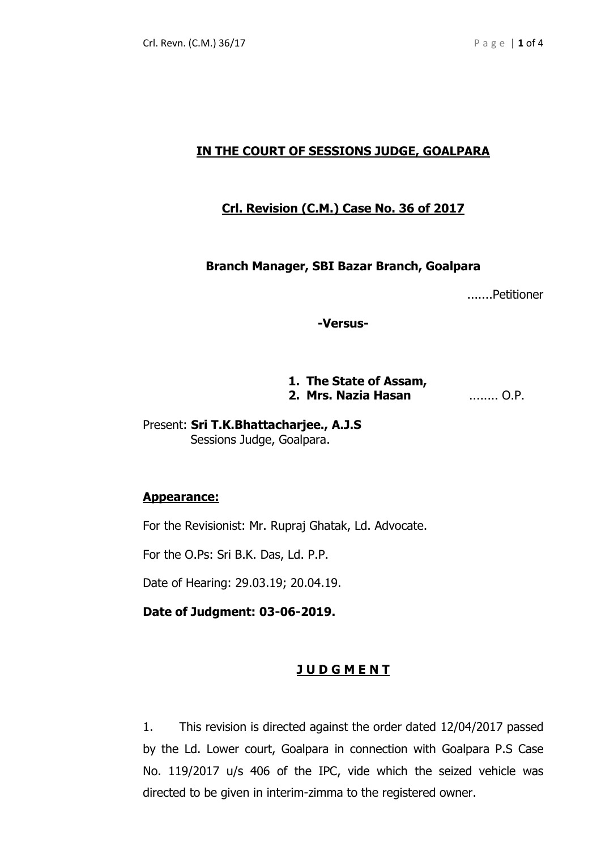## **IN THE COURT OF SESSIONS JUDGE, GOALPARA**

## **Crl. Revision (C.M.) Case No. 36 of 2017**

#### **Branch Manager, SBI Bazar Branch, Goalpara**

.......Petitioner

**-Versus-**

# **1. The State of Assam, 2. Mrs. Nazia Hasan** ........ O.P.

Present: **Sri T.K.Bhattacharjee., A.J.S** Sessions Judge, Goalpara.

#### **Appearance:**

For the Revisionist: Mr. Rupraj Ghatak, Ld. Advocate.

For the O.Ps: Sri B.K. Das, Ld. P.P.

Date of Hearing: 29.03.19; 20.04.19.

**Date of Judgment: 03-06-2019.**

#### **J U D G M E N T**

1. This revision is directed against the order dated 12/04/2017 passed by the Ld. Lower court, Goalpara in connection with Goalpara P.S Case No. 119/2017 u/s 406 of the IPC, vide which the seized vehicle was directed to be given in interim-zimma to the registered owner.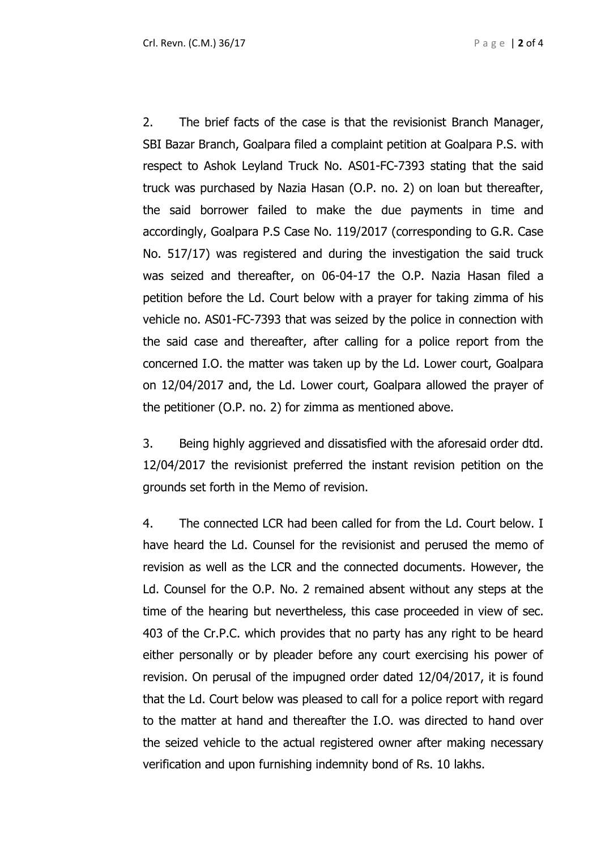2. The brief facts of the case is that the revisionist Branch Manager, SBI Bazar Branch, Goalpara filed a complaint petition at Goalpara P.S. with respect to Ashok Leyland Truck No. AS01-FC-7393 stating that the said truck was purchased by Nazia Hasan (O.P. no. 2) on loan but thereafter, the said borrower failed to make the due payments in time and accordingly, Goalpara P.S Case No. 119/2017 (corresponding to G.R. Case No. 517/17) was registered and during the investigation the said truck was seized and thereafter, on 06-04-17 the O.P. Nazia Hasan filed a petition before the Ld. Court below with a prayer for taking zimma of his vehicle no. AS01-FC-7393 that was seized by the police in connection with the said case and thereafter, after calling for a police report from the concerned I.O. the matter was taken up by the Ld. Lower court, Goalpara on 12/04/2017 and, the Ld. Lower court, Goalpara allowed the prayer of the petitioner (O.P. no. 2) for zimma as mentioned above.

3. Being highly aggrieved and dissatisfied with the aforesaid order dtd. 12/04/2017 the revisionist preferred the instant revision petition on the grounds set forth in the Memo of revision.

4. The connected LCR had been called for from the Ld. Court below. I have heard the Ld. Counsel for the revisionist and perused the memo of revision as well as the LCR and the connected documents. However, the Ld. Counsel for the O.P. No. 2 remained absent without any steps at the time of the hearing but nevertheless, this case proceeded in view of sec. 403 of the Cr.P.C. which provides that no party has any right to be heard either personally or by pleader before any court exercising his power of revision. On perusal of the impugned order dated 12/04/2017, it is found that the Ld. Court below was pleased to call for a police report with regard to the matter at hand and thereafter the I.O. was directed to hand over the seized vehicle to the actual registered owner after making necessary verification and upon furnishing indemnity bond of Rs. 10 lakhs.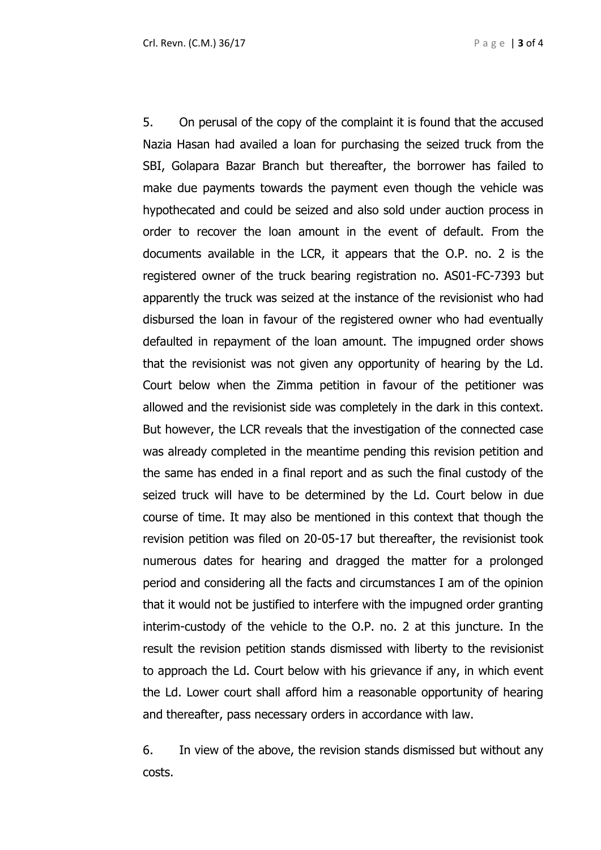5. On perusal of the copy of the complaint it is found that the accused Nazia Hasan had availed a loan for purchasing the seized truck from the SBI, Golapara Bazar Branch but thereafter, the borrower has failed to make due payments towards the payment even though the vehicle was hypothecated and could be seized and also sold under auction process in order to recover the loan amount in the event of default. From the documents available in the LCR, it appears that the O.P. no. 2 is the registered owner of the truck bearing registration no. AS01-FC-7393 but apparently the truck was seized at the instance of the revisionist who had disbursed the loan in favour of the registered owner who had eventually defaulted in repayment of the loan amount. The impugned order shows that the revisionist was not given any opportunity of hearing by the Ld. Court below when the Zimma petition in favour of the petitioner was allowed and the revisionist side was completely in the dark in this context. But however, the LCR reveals that the investigation of the connected case was already completed in the meantime pending this revision petition and the same has ended in a final report and as such the final custody of the seized truck will have to be determined by the Ld. Court below in due course of time. It may also be mentioned in this context that though the revision petition was filed on 20-05-17 but thereafter, the revisionist took numerous dates for hearing and dragged the matter for a prolonged period and considering all the facts and circumstances I am of the opinion that it would not be justified to interfere with the impugned order granting interim-custody of the vehicle to the O.P. no. 2 at this juncture. In the result the revision petition stands dismissed with liberty to the revisionist to approach the Ld. Court below with his grievance if any, in which event the Ld. Lower court shall afford him a reasonable opportunity of hearing and thereafter, pass necessary orders in accordance with law.

6. In view of the above, the revision stands dismissed but without any costs.